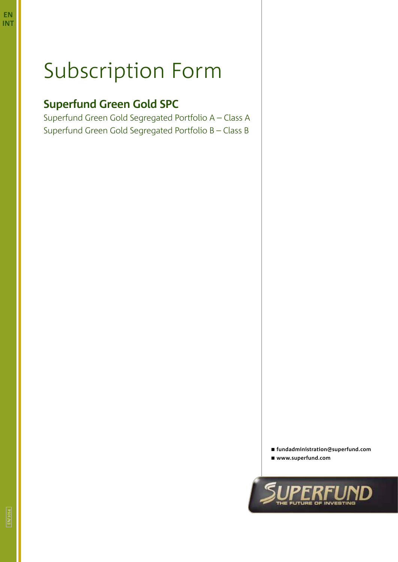**EN**

# Subscription Form

## **Superfund Green Gold SPC**

Superfund Green Gold Segregated Portfolio A – Class A Superfund Green Gold Segregated Portfolio B – Class B

**fundadministration@superfund.com**

**www.superfund.com**

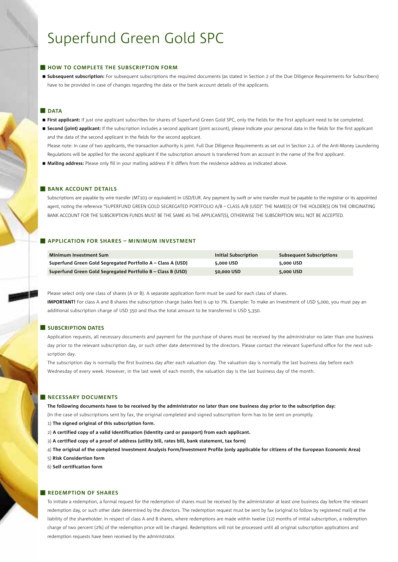## **HOW TO COMPLETE THE SUBSCRIPTION FORM**

 **Subsequent subscription:** For subsequent subscriptions the required documents (as stated in Section 2 of the Due Diligence Requirements for Subscribers) have to be provided in case of changes regarding the data or the bank account details of the applicants.

## **DATA**

- **First applicant:** If just one applicant subscribes for shares of Superfund Green Gold SPC, only the fields for the first applicant need to be completed.
- **Second (joint) applicant:** If the subscription includes a second applicant (joint account), please indicate your personal data in the fields for the first applicant and the data of the second applicant in the fields for the second applicant.

Please note: In case of two applicants, the transaction authority is joint. Full Due Diligence Requirements as set out in Section 2.2. of the Anti-Money Laundering Regulations will be applied for the second applicant if the subscription amount is transferred from an account in the name of the first applicant.

**Mailing address:** Please only fill in your mailing address if it differs from the residence address as indicated above.

## **BANK ACCOUNT DETAILS**

Subscriptions are payable by wire transfer (MT103 or equivalent) in USD/EUR. Any payment by swift or wire transfer must be payable to the registrar or its appointed agent, noting the reference "SUPERFUND GREEN GOLD SEGREGATED PORTFOLIO A/B - CLASS A/B (USD)". THE NAME(S) OF THE HOLDER(S) ON THE ORIGINATING BANK ACCOUNT FOR THE SUBSCRIPTION FUNDS MUST BE THE SAME AS THE APPLICANT(S), OTHERWISE THE SUBSCRIPTION WILL NOT BE ACCEPTED.

## **Application for shares – Minimum investment**

| <b>Minimum Investment Sum</b>                               | Initial Subscription | <b>Subsequent Subscriptions</b> |
|-------------------------------------------------------------|----------------------|---------------------------------|
| Superfund Green Gold Segregated Portfolio A - Class A (USD) | 5.000 USD            | 5.000 USD                       |
| Superfund Green Gold Segregated Portfolio B - Class B (USD) | 50.000 USD           | 5.000 USD                       |

Please select only one class of shares (A or B). A separate application form must be used for each class of shares. **IMPORTANT!** For class A and B shares the subscription charge (sales fee) is up to 7%. Example: To make an investment of USD 5,000, you must pay an

## **SUBSCRIPTION DATES**

Application requests, all necessary documents and payment for the purchase of shares must be received by the administrator no later than one business day prior to the relevant subscription day, or such other date determined by the directors. Please contact the relevant Superfund office for the next subscription day.

The subscription day is normally the first business day after each valuation day. The valuation day is normally the last business day before each Wednesday of every week. However, in the last week of each month, the valuation day is the last business day of the month.

## **NECESSARY DOCUMENTS**

**The following documents have to be received by the administrator no later than one business day prior to the subscription day:** 

(In the case of subscriptions sent by fax, the original completed and signed subscription form has to be sent on promptly.

- 1) **The signed original of this subscription form.**
- 2) **A certified copy of a valid identification (identity card or passport) from each applicant.**

additional subscription charge of USD 350 and thus the total amount to be transferred is USD 5,350.

- 3) **A certified copy of a proof of address (utility bill, rates bill, bank statement, tax form)**
- 4) **The original of the completed Investment Analysis Form/Investment Profile (only applicable for citizens of the European Economic Area)**
- 5) **Risk Considertion form**
- 6) **Self certification form**

## **REDEMPTION OF SHARES**

To initiate a redemption, a formal request for the redemption of shares must be received by the administrator at least one business day before the relevant redemption day, or such other date determined by the directors. The redemption request must be sent by fax (original to follow by registered mail) at the liability of the shareholder. In respect of class A and B shares, where redemptions are made within twelve (12) months of initial subscription, a redemption charge of two percent (2%) of the redemption price will be charged. Redemptions will not be processed until all original subscription applications and redemption requests have been received by the administrator.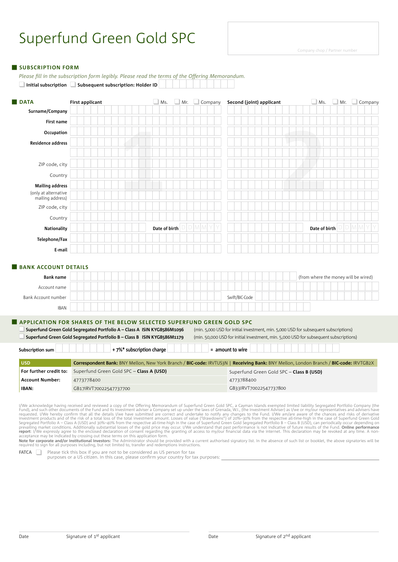*Please fill in the subscription form legibly. Please read the terms of the Offering Memorandum.*

## **SUBSCRIPTION FORM**

**1 2** □ Initial subscription □ Subsequent subscription: Holder ID **data First applicant First applicant G** Ms. **q** Ms. **q** Ms. **q** Ms. **q** Ms. **q** Ms. **q** Ms. **q** Mr. **q** Company **Second (joint) applicant Surname/Company** ☐☐☐☐☐☐☐☐☐☐☐☐☐☐☐☐☐☐☐☐☐☐ ☐☐☐☐☐☐☐☐☐☐☐☐☐☐☐☐☐☐☐☐☐☐ First name **de de que de que de que de de la que de** la que de la que de la que de la que de la que de la que de<br>De la que de la que de la que de la que de la que de la que de la que de la que de la que de la que de la qu **Occupation** ☐☐☐☐☐☐☐☐☐☐☐☐☐☐☐☐☐☐☐☐☐☐ ☐☐☐☐☐☐☐☐☐☐☐☐☐☐☐☐☐☐☐☐☐☐ **Residence address** ☐☐☐☐☐☐☐☐☐☐☐☐☐☐☐☐☐☐☐☐☐☐ ☐☐☐☐☐☐☐☐☐☐☐☐☐☐☐☐☐☐☐☐☐☐ ☐☐☐☐☐☐☐☐☐☐☐☐☐☐☐☐☐☐☐☐☐☐ ☐☐☐☐☐☐☐☐☐☐☐☐☐☐☐☐☐☐☐☐☐☐ ZIP code, city ☐☐☐☐☐☐☐☐☐☐☐☐☐☐☐☐☐☐☐☐☐☐ ☐☐☐☐☐☐☐☐☐☐☐☐☐☐☐☐☐☐☐☐☐☐ Country ☐☐☐☐☐☐☐☐☐☐☐☐☐☐☐☐☐☐☐☐☐☐ ☐☐☐☐☐☐☐☐☐☐☐☐☐☐☐☐☐☐☐☐☐☐ **Mailing address** ☐☐☐☐☐☐☐☐☐☐☐☐☐☐☐☐☐☐☐☐☐☐ ☐☐☐☐☐☐☐☐☐☐☐☐☐☐☐☐☐☐☐☐☐☐ ☐☐☐☐☐☐☐☐☐☐☐☐☐☐☐☐☐☐☐☐☐☐ ☐☐☐☐☐☐☐☐☐☐☐☐☐☐☐☐☐☐☐☐☐☐ ZIP code, city ☐☐☐☐☐☐☐☐☐☐☐☐☐☐☐☐☐☐☐☐☐☐ ☐☐☐☐☐☐☐☐☐☐☐☐☐☐☐☐☐☐☐☐☐☐ Country ☐☐☐☐☐☐☐☐☐☐☐☐☐☐☐☐☐☐☐☐☐☐ ☐☐☐☐☐☐☐☐☐☐☐☐☐☐☐☐☐☐☐☐☐☐ **Nationality** ☐☐☐☐☐☐☐☐☐☐☐ **Date of birth** ☐☐☐☐☐☐ ☐☐☐☐☐☐☐☐☐☐☐ **Date of birth** ☐☐☐☐☐☐ **Telephone/Fax** ☐☐☐☐☐☐☐☐☐☐☐☐☐☐☐☐☐☐☐☐☐☐ ☐☐☐☐☐☐☐☐☐☐☐☐☐☐☐☐☐☐☐☐☐☐ **E-mail** ☐☐☐☐☐☐☐☐☐☐☐☐☐☐☐☐☐☐☐☐☐☐ ☐☐☐☐☐☐☐☐☐☐☐☐☐☐☐☐☐☐☐☐☐☐ **BANK ACCOUNT DETAILS Bank name** ☐☐☐☐☐☐☐☐☐☐☐☐☐☐☐☐☐☐☐☐☐☐☐☐☐☐☐☐☐☐☐☐☐ (from where the money will be wired) Account name ☐☐☐☐☐☐☐☐☐☐☐☐☐☐☐☐☐☐☐☐☐☐☐☐☐☐☐☐☐☐☐☐☐☐☐☐☐☐☐☐☐☐☐☐☐ Bank Account number ☐☐☐☐☐☐☐☐☐☐☐☐☐☐☐☐☐☐☐☐☐☐ Swift/BIC-Code ☐☐☐☐☐☐☐☐☐☐☐☐☐☐☐☐☐☐ IBAN ☐☐☐☐☐☐☐☐☐☐☐☐☐☐☐☐☐☐☐☐☐☐☐☐☐☐☐☐☐☐☐☐☐☐☐ **APPLICATION FOR SHARES OF THE BELOW SELECTED SUPERFUND GREEN GOLD SPC<br><b>Application Superfund Green Gold Segregated Portfolio A – Class A ISIN KYG8586M1096** (min. 5,000 USD for initial investment, min. 5,000 USD for subseq Superfund Green Gold Segregated Portfolio A – Class A ISIN KYG8586M1096 q**Superfund Green Gold Segregated Portfolio B – Class B ISIN KYG8586M1179** (min. 50,000 USD for initial investment, min. 5,000 USD for subsequent subscriptions) Subscription sum **b**  $\begin{bmatrix} 1 \\ 1 \end{bmatrix}$  + 7%\* subscription charge **b**  $\begin{bmatrix} 1 \\ 1 \end{bmatrix}$  = amount to wire Date of birth **USD Correspondent Bank:** BNY Mellon, New York Branch / **BIC-code:** IRVTUS3N | **Receiving Bank:** BNY Mellon, London Branch / **BIC-code:** IRVTGB2X For further credit to: Superfund Green Gold SPC – **Class A (USD)** Superfund Green Gold SPC – **Class B (USD)** 4773788400 GB33IRVT70022547737800 **Account Number:** 4773778400 **IBAN:** GB17IRVT70022547737700 (only at alternative mailing address)

I/We acknowledge having received and reviewed a copy of the Offering Memorandum of Superfund Green Gold SPC, a Cayman Islands exempted limited liability Segregated Portfolio Company (the<br>Fund), and such other documents of

required to sign for all purposes including, but not limited to, transfer and redemptions instructions.

**FATCA** Please tick this box if you are not to be considered as US person for tax

purposes or a US citizen. In this case, please confirm your country for tax purposes: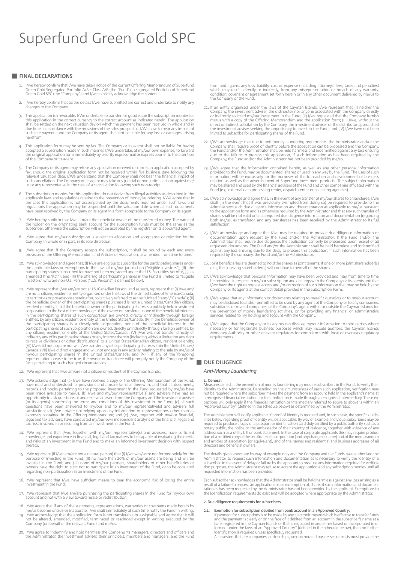### **Final declarations**

- 1. I/we hereby confirm that I/we have taken notice of the current Offering Memorandum of Superfund Green Gold Segregated Portfolio A/B – Class A/B (the "Fund"), a segregated Portfolio of Superfund Green Gold SPC (the "Company") and I/we explicitly acknowledge the content.
- I/we hereby confirm that all the details I/we have submitted are correct and undertake to notify any changes to the Company.
- 3. This application is irrevocable. I/We undertake to transfer for good value the subscription monies for this application in the correct currency to the correct account as indicated herein. The application shall be settle herefrom.
- 4. This application form may be sent by fax. The Company or its agent shall not be liable for having accepted a subscription made in such manner. I/We undertake, at my/our own expense, to forward the original application form immediately by priority express mail or express courier to the attention of the Company or its agent.
- 5. The Company or its agent may refuse any application received or cancel an application accepted by<br>fax, should the original application form not be received within five business days following the<br>relevant valuation date such cancellation. The Company or its agent may take any judicial or non-judicial action against me/ us or any representative in the case of a cancellation following such non-receipt.
- The subscription monies for this application do not derive from illegal activities as described in the applicable laws and regulations relating to the prevention of money laundering. I/We agree that in<br>the case this application is not accompanied by the documents required under such laws and<br>regulations the application may have been received by the Company or its agent in a form acceptable to the Company or its agent.
- I/We hereby confirm that I/we am/are the beneficial owner of the transferred money. The name of the holder on the originating bank account for the subscription funds must be the same as the subscriber, otherwise the subscription will not be accepted by the registrar or its appointed agent.
- 8. I/We agree that my/our subscription is subject to allocation and acceptance or rejection by the Company, in whole or in part, in its sole discretion.
- 9. I/We agree that, if the Company accepts the subscription, it shall be bound by each and every provision of the Offering Memorandum and Articles of Association, as amended from time to time.
- 10. I/We acknowledge and agree that: (I) I/we are eligible to subscribe for the participating shares under<br>the applicable laws or exemptions to the laws of my/our jurisdiction ("eligible investors"), (II) the<br>participating amended (the "Act"); and (III) the offering of participating shares in the Fund is limited to "eligible investors" who are non-U.S. Persons ("U.S. Persons" is defined below).
- 11. I/We represent that I/we am/are not a U.S./Canadian Person, and as such, represent that (I) I/we am/<br>are not a citizen, resident or entity organised under the laws of the United States of America/Canada,<br>its territorie any citizen, resident or entity of the United States/Canada; (V) I/we will not transfer directly or<br>indirectly any of its participating shares or any interest therein (including without limitation any right<br>to receive divi (VI) I/we did not acquire nor will I/we transfer any of its participating shares within the United States/<br>Canada; (VII) I/we did not engage and will not engage in any activity relating to the sale by me/us of<br>my/our parti
- 12. I/We represent that I/we am/are not a citizen or resident of the Cayman Islands.
- 13. I/We acknowledge that (a) I/we have received a copy of the Offering Memorandum of the Fund,<br>have read and understood its provisions and am/are familiar therewith, and that all documents,<br>records and books pertaining t opportunity to ask questions of and receive answers from the Company and the investment adviser<br>(or its agents) concerning the terms and conditions of this investment in the Fund; (c) all such<br>questions have been answered tax risks involved in or resulting from an investment in the Fund.
- 14. I/We represent that I/we, together with my/our representative(s) and advisers, have sufficient knowledge and experience in financial, legal and tax matters to be capable of evaluating the merits and risks of an investm
- 15. I/We represent (if I/we am/are not a natural person) that (I) I/we was/were not formed solely for the purpose of investing in the Fund; (II) no more than 20% of my/our assets are being and will be<br>invested in the Fund; and (III) none of my/our partners, shareholders or other beneficiaries or<br>owners have the right to elect regarding non-participation in an investment of the Fund.
- 16. I/We represent that I/we have sufficient means to bear the economic risk of losing the entire investment in the Fund.
- 17. I/We represent that I/we am/are purchasing the participating shares in the Fund for my/our own account and not with a view toward resale or redistribution.
- 18. I/We agree that if any of the statements, representations, warranties or covenants made herein by
- me/us become untrue or inaccurate, I/we shall immediately at such time notify the Fund in writing.<br>19. I/We acknowledge that the application form is not transferable or assignable and agree that it will<br>not be altered, ame
- 20. I/We agree to indemnify and hold harmless the Company, its managers, directors and officers and the Administrator, the investment adviser, their principals, members and managers, and the Fund

from and against any loss, liability, cost or expense (including attorneys' fees, taxes and penalties)<br>which may result, directly or indirectly, from any misrepresentation or breach of any warranty,<br>condition, covenant or the Company or the Fund.

- 21. If an entity organised under the laws of the Cayman Islands, I/we represent that (I) neither the Company, the investment adviser, the distributor nor anyone associated with the Company directly<br>or indirectly solicited my/our investment in the Fund; (II) I/we requested that the Company furnish<br>me/us with a copy of the direct or indirect solicitation by the Company, the investment adviser or the distributor approached<br>the investment adviser seeking the opportunity to invest in the Fund; and (IV) I/we have not been<br>invited to subscribe fo
- 22. I/We acknowledge that due to anti-money laundering requirments, the Administrator and/or the Company shall require proof of identity before the application can be processed and the Company, the Fund and/or the Adminis
- 23. I/We agree that the information contained herein, as well as any other personal information provided to the Fund, may be documented, altered or used in any way by the Fund. The uses of such information will be exclusiv Fund (e.g. external data processing center, dispatch center or collecting agencies).
- 24. I/We acknowledge and agree that, in the event of any transfer of my/our shares to a transferee, I/we shall (in the event that it was previously exempted from doing so) be required to provide to the Administrator such d both me/us, as transferor, and any transferee) has been received by the Administrator to its full satisfaction.
- 25. I/We acknowledge and agree that I/we may be required to provide due diligence information or<br>documentation upon request by the Fund and/or the Administrator. If the Fund and/or the<br>Administrator shall require due dilig requested documents. The Fund and/or the Administrator shall be held harmless and indemnified<br>against any loss ensuing due to the delay to process this application, if such information has been<br>required by the company, the
- 26. Joint beneficiaries are deemed to hold the shares as joint tenants. If one or more joint shareholder(s) dies, the surviving shareholder(s) will continue to own all of the shares.
- 27. I/We acknowledge that personal information may have been provided and may, from time to time<br>be provided, in respect to my/our subscription and dealings with the Company or its agents and that<br>I/we have the right to re
- 28. I/We agree that any information or documents relating to myself / ourselves or to my/our account may be disclosed to and/or permitted to be used by any agent of the Company or to any companies, substidiaries or related
- 29. I/We agree that the Company or its agents can disclose my/our information to third parties where<br>necessary or for legitimate business purposes which may include auditors, the Cayman Islands<br>Monetary Authority or other requirements.

## **DUE DILIGENCE**

### *Anti-Money Laundering*

### **1. General**

Measures aimed at the prevention of money laundering may require subscribers in the Funds to verify their<br>identity to the Administrator. Depending on the circumstances of each such application, verification may<br>not be requ a recognised financial institution, or the application is made through a recognised intermediary. These ex-<br>ceptions will only apply if the financial institution or intermediary referred to above to above is within an<br>"App

The Administrator will notify applicants if proof of identity is required and, in such case, the specific guidelines below regarding proof of identity will be applicable. By way of example, individual subscribers may be required to produce a copy of a passport or identification card duly certified by a public authority such as a no directors and beneficial owners.

The details given above are by way of example only and the Company and the Funds have authorised the Administrator to request such information and documentation as is necessary to verify the identity of a subscription subs requested information has been provided.

Each subscriber acknowledges that the Administrator shall be held harmless against any loss arising as a result of a failure to process an application for, or redemption of, shares if such information and documen-<br>tation as has been requested by the Administrator has not been provided by the applicant. Exemptions to<br>the ident

### **2. Due diligence requirements for subscribers**

- **2.1. Exemption for subscription debited from bank account in an Approved Country:**
- If payment for subscriptions is to be made by any electronic means which is effective to transfer funds and the payment is clearly or on the face of it debited from an account in the subscriber's name at a bank registered in the Cayman Islands or that is regulated in and either based or incorporated in or<br>formed under the laws of an "Approved Country" (defined in the schedule below), then no further<br>identification is require

All investors that are companies, partnerships, unincorporated businesses or trusts must provide the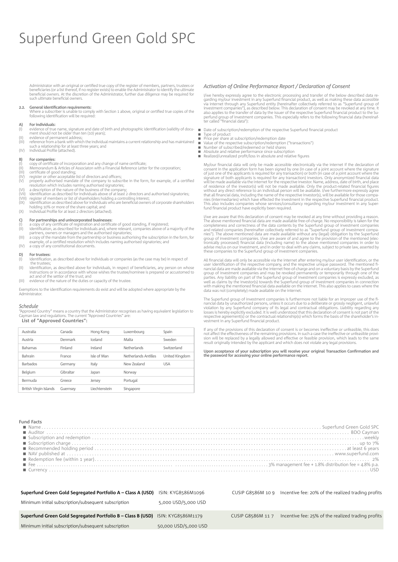Administrator with an original or certified true copy of the register of members, partners, trustees or beneficiaries (or a list thereof, if no register exists) to enable the Administrator to identify the ultimate benefici such ultimate beneficial owners

#### General identification requirements:  $2.2.$

Where a subscriber is unable to comply with Section 1 above, original or certified true copies of the following identification will be required:

#### For individuals:  $\Delta$

- For internation:<br>evidence of true name, signature and date of birth and photographic identification (validity of document should not be older than ten (10) years);  $\left( 1\right)$
- evidence of permanent address:
- eviewelle on permanent advisor.<br>The individual maintains a current relationship and has maintaine<br>such a relationship for at least three years; and  $(IV)$ Individual Profile (attached).

### For companies:

- For companies:<br>copy of certificate of incorporation and any change of name certificate;<br>Memorandum & Articles of Associaton with a Financial Reference Letter for the corporation;<br>certificate of good standing;<br>register or o  $(1)$
- 
- $(IV)$
- register of tourier acceptance is to uncertors and onlined properly authorised mandate of the company to subscribe in the form, for example, of a certified resolution which includes naming authorised signatories;<br>a descrip
- $(VI)$
- ίviί
- a uses in point of the nature of the business of the company,<br>dentification as described for individuals above of at least 2 directors and authorised signatories;<br>register of members or list of shareholders holding a contr  $I(X)$
- holding 10% or more of the share capital; and<br>Individual Profile for at least 2 directors (attached).  $(X)$

- $\frac{C}{(1)}$
- For partnerships and unincorporated businesses:<br>a copy of any certificate of registration and certificate of good standing, if registered;<br>identification, as described for individuals and, where relevant, companies above o (II)
- extraction, as a cascined or intended standard in the creation, companies above or a majority or are<br>partners, owners or managers and the authorised signatories;<br>a copy of the mandate from the partnership or business autho  $(|||)$  $(IV)$ a copy of any constitutional documents.

#### $D)$ For trustees:

- identification, as described above for individuals or companies (as the case may be) in respect of  $(1)$ the trustees
- identification, as described above for individuals, in respect of beneficiaries, any person on whose  $(11)$ instructions or in accordance with whose wishes the trustee/nominee is prepared or accustomed to act and of the settlor of the trust: and

 $(|||)$ evidence of the nature of the duties or capacity of the trust

Exemptions to the identification requirements do exist and will be adopted where appropriate by the Administrator

### Schedule

-<br>"Approved Country" means a country that the Administrator recognises as having equivalent legislation to man law and requilations. The current "Annroved Countries" are List of "Approved Countries":

| Australia              | Canada    | Hong Kong     | Luxembourg           | Spain          |
|------------------------|-----------|---------------|----------------------|----------------|
| Austria                | Denmark   | Iceland       | Malta                | Sweden         |
| <b>Bahamas</b>         | Finland   | Ireland       | Netherlands          | Switzerland    |
| Bahrain                | France    | Isle of Man   | Netherlands Antilles | United Kingdom |
| <b>Barbados</b>        | Germany   | Italy         | New Zealand          | <b>USA</b>     |
| Belgium                | Gibraltar | Japan         | Norway               |                |
| Bermuda                | Greece    | Jersey        | Portugal             |                |
| British Virgin Islands | Guernsey  | Liechtenstein | Singapore            |                |

### Activation of Online Performance Report / Declaration of Consent

I/we hereby expressly agree to the electronic processing and transfer of the below described data regarding my/our investment in any Superfund financial product, as well as making these data accessible via internet through perfund group of investment companies. This especially refers to the following financial data (hereinaf-<br>ter called "financial data"):

Date of subscription/redemption of the respective Superfund financial product

Type of product<br>Type of product<br>Price per share at subscription/redemption date

 $\mathbf{u}$ 

 $\blacksquare$ 

- Value of the respective subscription/redemption ("transactions")<br>Number of subscribed/redeemed or held shares<br>Absolute and relative performance since subscription  $\blacksquare$ 
	-
- $\blacksquare$ Realized/unrealized profit/loss in absolute and relative figures

My/our financial data will only be made accessible electronically via the internet if the declaration of Wyour manutati data wit only be made accessible excludingly was the interacted to represent in the application form has been signed by one (in case of a joint account where the signature of just one of the applicants is re or residence or the investor(s) will not be made available. Uny the product-related financial figures<br>without any direct reference to an individual person will be available. I/we furthermore expressly agree<br>that all financ

I/we are aware that this declaration of consent may be revoked at any time without providing a reason. The above mentioned financial data are made available free-of-charge. No responsibility is taken for the completeness a brown of the canonical data (including name) to the above mentioned companies in order to advise me/us on our investment, and in order to deal with any claims, subject to private law, asserted by these companies to the Sup

All financial data will only be accessible via the internet after entering my/our user identification, or the<br>user identification of the respective company, and the respective unique password. The mentioned fibecause the superfunction of the superfunction and the superfunction and the superfunction and the superfunction of the superfunction of the superfunction of the superfunction of the superfunction of the parties. Any liabi perfect to the set of the set of the set of the set of the set of the set of the set of the set of the set of the set of the set of the set of the set of the set of the set of the set of the set of the set of the set of th

The Superfund group of investment companies is furthermore not liable for an improper use of the financial data by unauthorized persons, unless it occurs due to a deliberate or grossly negligent, unlawful violation by any vestment in any Superfund financial product.

of the provisions of this declaration of consent is or becomes ineffective or unfeasible, this does not affect the effectiveness of the remaining provisions. In such a case the ineffective or unfeasible provi-From which be replaced by a legally allowed and effective or feasible provision, which leads to the same<br>result originally intended by the applicant and which does not violate any legal provisions.

Upon acceptance of your subscription you will receive your original Transaction Confirmation and<br>the password for accessing your online performance report.

## Fund Factor

| unu ratta |
|-----------|
|           |
|           |
|           |
|           |
|           |
|           |
|           |
|           |
|           |
|           |

| Superfund Green Gold Segregated Portfolio A - Class A (USD)                           | ISIN: KYG8586M1096   | CUSIP G8586M 10 9 | Incentive fee: 20% of the realized trading profits |
|---------------------------------------------------------------------------------------|----------------------|-------------------|----------------------------------------------------|
| Minimum initial subscription/subsequent subscription                                  | 5,000 USD/5,000 USD  |                   |                                                    |
| <b>Superfund Green Gold Segregated Portfolio B - Class B (USD)</b> ISIN: KYG8586M1179 |                      | CUSIP G8586M 117  | Incentive fee: 25% of the realized trading profits |
| Minimum initial subscription/subsequent subscription                                  | 50,000 USD/5,000 USD |                   |                                                    |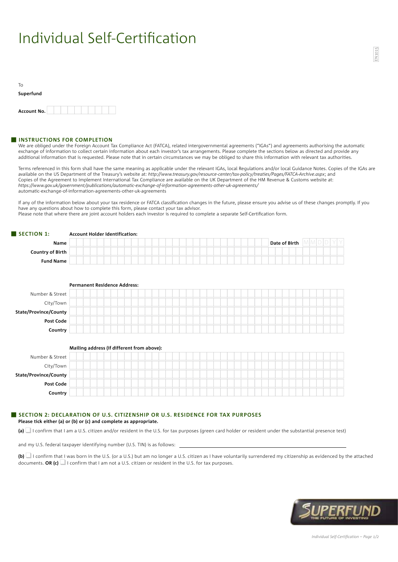## Individual Self-Certification

| Τo          |  |  |  |  |  |
|-------------|--|--|--|--|--|
| Superfund   |  |  |  |  |  |
|             |  |  |  |  |  |
| Account No. |  |  |  |  |  |

### **INSTRUCTIONS FOR COMPLETION**

We are obliged under the Foreign Account Tax Compliance Act (FATCA), related intergovernmental agreements ("IGAs") and agreements authorising the automatic exchange of information to collect certain information about each investor's tax arrangements. Please complete the sections below as directed and provide any additional information that is requested. Please note that in certain circumstances we may be obliged to share this information with relevant tax authorities.

Terms referenced in this form shall have the same meaning as applicable under the relevant IGAs, local Regulations and/or local Guidance Notes. Copies of the IGAs are available on the US Department of the Treasury's website at: *http://www.treasury.gov/resource-center/tax-policy/treaties/Pages/FATCA-Archive.aspx*; and Copies of the Agreement to Implement International Tax Compliance are available on the UK Department of the HM Revenue & Customs website at: *https://www.gov.uk/government/publications/automatic-exchange-of-information-agreements-other-uk-agreements/* automatic-exchange-of-information-agreements-other-uk-agreements

If any of the information below about your tax residence or FATCA classification changes in the future, please ensure you advise us of these changes promptly. If you have any questions about how to complete this form, please contact your tax advisor.

Please note that where there are joint account holders each investor is required to complete a separate Self-Certification form.

## **Name** ☐☐☐☐☐☐☐☐☐☐☐☐☐☐☐☐☐☐☐☐☐☐☐☐☐☐☐☐☐ **Date of Birth** ☐☐☐☐☐☐ **Country of Birth** ☐☐☐☐☐☐☐☐☐☐☐☐☐☐☐☐☐☐☐☐☐☐☐☐☐☐☐☐☐☐☐☐☐☐☐☐☐☐☐☐ **Fund Name** ☐☐☐☐☐☐☐☐☐☐☐☐☐☐☐☐☐☐☐☐☐☐☐☐☐☐☐☐☐☐☐☐☐☐☐☐☐☐☐☐ **Permanent Residence Address:** Number & Street ☐☐☐☐☐☐☐☐☐☐☐☐☐☐☐☐☐☐☐☐☐☐☐☐☐☐☐☐☐☐☐☐☐☐☐☐☐☐☐☐ City/Town ☐☐☐☐☐☐☐☐☐☐☐☐☐☐☐☐☐☐☐☐☐☐☐☐☐☐☐☐☐☐☐☐☐☐☐☐☐☐☐☐  $State/Proving/Conny$ **Post Code** ☐☐☐☐☐☐☐☐☐☐☐☐☐☐☐☐☐☐☐☐☐☐☐☐☐☐☐☐☐☐☐☐☐☐☐☐☐☐☐☐ **Country** ☐☐☐☐☐☐☐☐☐☐☐☐☐☐☐☐☐☐☐☐☐☐☐☐☐☐☐☐☐☐☐☐☐☐☐☐☐☐☐☐ **Mailing address (if different from above):** Number & Street ☐☐☐☐☐☐☐☐☐☐☐☐☐☐☐☐☐☐☐☐☐☐☐☐☐☐☐☐☐☐☐☐☐☐☐☐☐☐☐☐ City/Town ☐☐☐☐☐☐☐☐☐☐☐☐☐☐☐☐☐☐☐☐☐☐☐☐☐☐☐☐☐☐☐☐☐☐☐☐☐☐☐☐ State/Province/County **Post Code** ☐☐☐☐☐☐☐☐☐☐☐☐☐☐☐☐☐☐☐☐☐☐☐☐☐☐☐☐☐☐☐☐☐☐☐☐☐☐☐☐ **Country** ☐☐☐☐☐☐☐☐☐☐☐☐☐☐☐☐☐☐☐☐☐☐☐☐☐☐☐☐☐☐☐☐☐☐☐☐☐☐☐☐  $M$  $M$  $D$  $D$  $Y$  $Y$

### **Section 1: Account Holder Identification:**

## **Section 2: Declaration of U.S. Citizenship or U.S. Residence for Tax purposes**

## **Please tick either (a) or (b) or (c) and complete as appropriate.**

**(a)** I confirm that I am a U.S. citizen and/or resident in the U.S. for tax purposes (green card holder or resident under the substantial presence test)

and my U.S. federal taxpayer identifying number (U.S. TIN) is as follows:

**(b)** q I confirm that I was born in the U.S. (or a U.S.) but am no longer a U.S. citizen as I have voluntarily surrendered my citizenship as evidenced by the attached documents. **OR (c)** I confirm that I am not a U.S. citizen or resident in the U.S. for tax purposes.

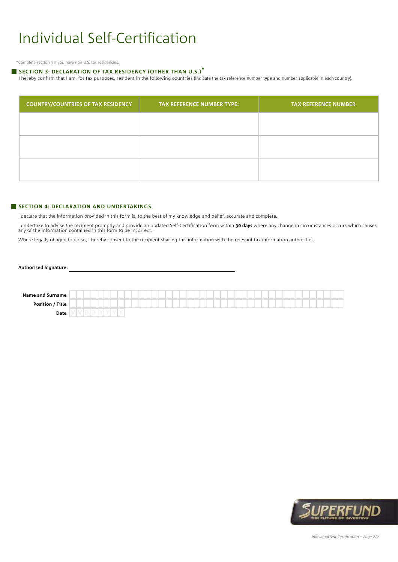## Individual Self-Certification

\*Complete section 3 if you have non-U.S. tax residencies.

## **Section 3: Declaration of Tax Residency (other than U.S.)\***

I hereby confirm that I am, for tax purposes, resident in the following countries (indicate the tax reference number type and number applicable in each country).

| <b>COUNTRY/COUNTRIES OF TAX RESIDENCY</b> | <b>TAX REFERENCE NUMBER TYPE:</b> | <b>TAX REFERENCE NUMBER</b> |
|-------------------------------------------|-----------------------------------|-----------------------------|
|                                           |                                   |                             |
|                                           |                                   |                             |
|                                           |                                   |                             |
|                                           |                                   |                             |

## **Section 4: Declaration and Undertakings**

I declare that the information provided in this form is, to the best of my knowledge and belief, accurate and complete.

I undertake to advise the recipient promptly and provide an updated Self-Certification form within **30 days** where any change in circumstances occurs which causes<br>any of the information contained in this form to be incorre

Where legally obliged to do so, I hereby consent to the recipient sharing this information with the relevant tax information authorities.

## **Authorised Signature:**

| <b>Name and Surname</b> |  |  |  |  |  |  |  |  |  |  |
|-------------------------|--|--|--|--|--|--|--|--|--|--|
| Position / Title        |  |  |  |  |  |  |  |  |  |  |
| Date                    |  |  |  |  |  |  |  |  |  |  |

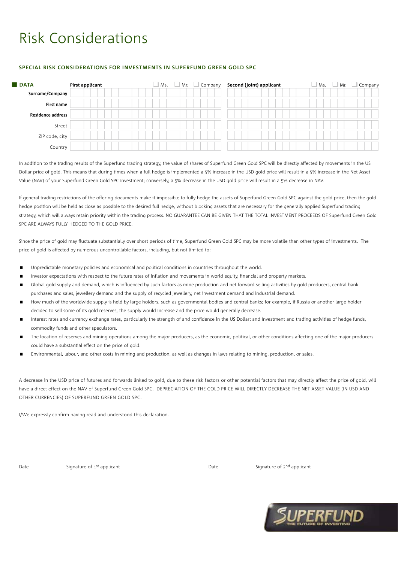## Risk Considerations

## **Special Risk Considerations for Investments in Superfund Green Gold SPC**

| <b>DATA</b>              | First applicant | Ms.<br>Mr. | Company<br>$\overline{\phantom{a}}$ | Second (joint) applicant | Company<br>Mr.<br>Ms. |
|--------------------------|-----------------|------------|-------------------------------------|--------------------------|-----------------------|
| Surname/Company          |                 |            |                                     |                          |                       |
| <b>First name</b>        |                 |            |                                     |                          |                       |
| <b>Residence address</b> |                 |            |                                     |                          |                       |
| Street                   |                 |            |                                     |                          |                       |
| ZIP code, city           |                 |            |                                     |                          |                       |
| Country                  |                 |            |                                     |                          |                       |

In addition to the trading results of the Superfund trading strategy, the value of shares of Superfund Green Gold SPC will be directly affected by movements in the US Dollar price of gold. This means that during times when a full hedge is implemented a 5% increase in the USD gold price will result in a 5% increase in the Net Asset Value (NAV) of your Superfund Green Gold SPC investment; conversely, a 5% decrease in the USD gold price will result in a 5% decrease in NAV.

If general trading restrictions of the offering documents make it impossible to fully hedge the assets of Superfund Green Gold SPC against the gold price, then the gold hedge position will be held as close as possible to the desired full hedge, without blocking assets that are necessary for the generally applied Superfund trading strategy, which will always retain priority within the trading process. NO GUARANTEE CAN BE GIVEN THAT THE TOTAL INVESTMENT PROCEEDS OF Superfund Green Gold SPC ARE ALWAYS FULLY HEDGED TO THE GOLD PRICE.

Since the price of gold may fluctuate substantially over short periods of time, Superfund Green Gold SPC may be more volatile than other types of investments. The price of gold is affected by numerous uncontrollable factors, including, but not limited to:

- Unpredictable monetary policies and economical and political conditions in countries throughout the world.
- Investor expectations with respect to the future rates of inflation and movements in world equity, financial and property markets.
- Global gold supply and demand, which is influenced by such factors as mine production and net forward selling activities by gold producers, central bank purchases and sales, jewellery demand and the supply of recycled jewellery, net investment demand and industrial demand.
- How much of the worldwide supply is held by large holders, such as governmental bodies and central banks; for example, if Russia or another large holder decided to sell some of its gold reserves, the supply would increase and the price would generally decrease.
- Interest rates and currency exchange rates, particularly the strength of and confidence in the US Dollar; and Investment and trading activities of hedge funds, commodity funds and other speculators.
- The location of reserves and mining operations among the major producers, as the economic, political, or other conditions affecting one of the major producers could have a substantial effect on the price of gold.
- Environmental, labour, and other costs in mining and production, as well as changes in laws relating to mining, production, or sales.

A decrease in the USD price of futures and forwards linked to gold, due to these risk factors or other potential factors that may directly affect the price of gold, will have a direct effect on the NAV of Superfund Green Gold SPC. DEPRECIATION OF THE GOLD PRICE WILL DIRECTLY DECREASE THE NET ASSET VALUE (IN USD AND OTHER CURRENCIES) OF Superfund Green Gold SPC.

I/We expressly confirm having read and understood this declaration.

Date Signature of 1<sup>st</sup> applicant Signature of 1<sup>st</sup> applicant Date Signature of 2<sup>nd</sup> applicant